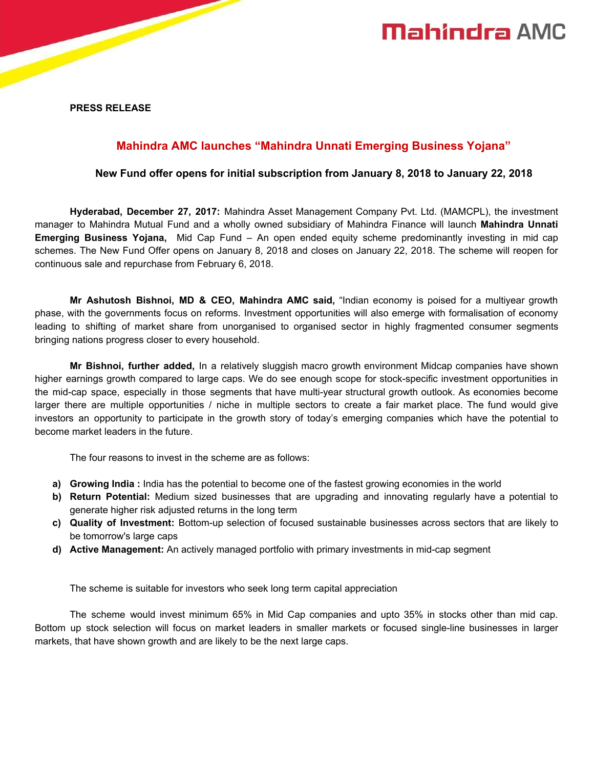# **Mahindra AMC**

**PRESS RELEASE**

## **Mahindra AMC launches "Mahindra Unnati Emerging Business Yojana"**

### **New Fund offer opens for initial subscription from January 8, 2018 to January 22, 2018**

**Hyderabad, December 27, 2017:** Mahindra Asset Management Company Pvt. Ltd. (MAMCPL), the investment manager to Mahindra Mutual Fund and a wholly owned subsidiary of Mahindra Finance will launch **Mahindra Unnati Emerging Business Yojana,** Mid Cap Fund – An open ended equity scheme predominantly investing in mid cap schemes. The New Fund Offer opens on January 8, 2018 and closes on January 22, 2018. The scheme will reopen for continuous sale and repurchase from February 6, 2018.

**Mr Ashutosh Bishnoi, MD & CEO, Mahindra AMC said,** "Indian economy is poised for a multiyear growth phase, with the governments focus on reforms. Investment opportunities will also emerge with formalisation of economy leading to shifting of market share from unorganised to organised sector in highly fragmented consumer segments bringing nations progress closer to every household.

**Mr Bishnoi, further added,** In a relatively sluggish macro growth environment Midcap companies have shown higher earnings growth compared to large caps. We do see enough scope for stock-specific investment opportunities in the mid-cap space, especially in those segments that have multi-year structural growth outlook. As economies become larger there are multiple opportunities / niche in multiple sectors to create a fair market place. The fund would give investors an opportunity to participate in the growth story of today's emerging companies which have the potential to become market leaders in the future.

The four reasons to invest in the scheme are as follows:

- **a) Growing India :** India has the potential to become one of the fastest growing economies in the world
- **b) Return Potential:** Medium sized businesses that are upgrading and innovating regularly have a potential to generate higher risk adjusted returns in the long term
- **c) Quality of Investment:** Bottom-up selection of focused sustainable businesses across sectors that are likely to be tomorrow's large caps
- **d) Active Management:** An actively managed portfolio with primary investments in mid-cap segment

The scheme is suitable for investors who seek long term capital appreciation

The scheme would invest minimum 65% in Mid Cap companies and upto 35% in stocks other than mid cap. Bottom up stock selection will focus on market leaders in smaller markets or focused single-line businesses in larger markets, that have shown growth and are likely to be the next large caps.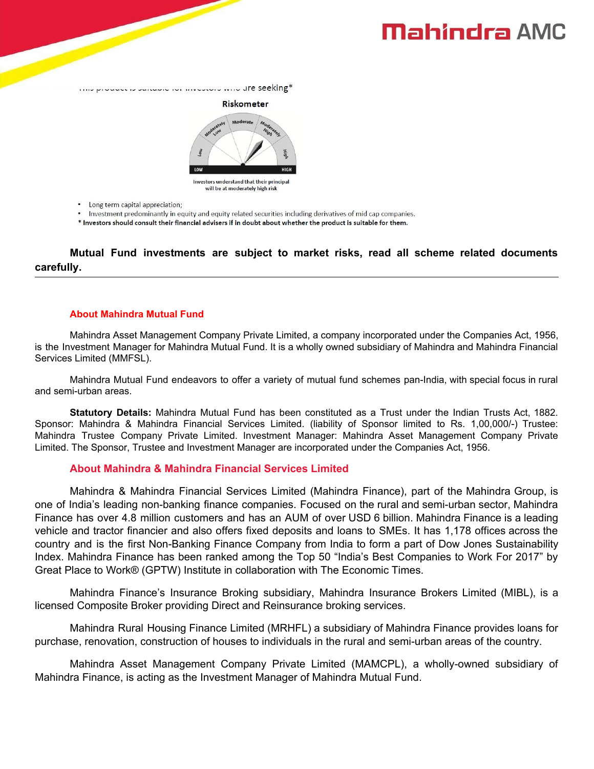# **Mahindra AMC**

mo prouder is surrante for investors who dre seeking\*



will be at moderately high risk

Long term capital appreciation;

• Investment predominantly in equity and equity related securities including derivatives of mid cap companies.

\* Investors should consult their financial advisers if in doubt about whether the product is suitable for them.

**Mutual Fund investments are subject to market risks, read all scheme related documents carefully.**

#### **About Mahindra Mutual Fund**

Mahindra Asset Management Company Private Limited, a company incorporated under the Companies Act, 1956, is the Investment Manager for Mahindra Mutual Fund. It is a wholly owned subsidiary of Mahindra and Mahindra Financial Services Limited (MMFSL).

Mahindra Mutual Fund endeavors to offer a variety of mutual fund schemes pan-India, with special focus in rural and semi-urban areas.

**Statutory Details:** Mahindra Mutual Fund has been constituted as a Trust under the Indian Trusts Act, 1882. Sponsor: Mahindra & Mahindra Financial Services Limited. (liability of Sponsor limited to Rs. 1,00,000/-) Trustee: Mahindra Trustee Company Private Limited. Investment Manager: Mahindra Asset Management Company Private Limited. The Sponsor, Trustee and Investment Manager are incorporated under the Companies Act, 1956.

### **About Mahindra & Mahindra Financial Services Limited**

Mahindra & Mahindra Financial Services Limited (Mahindra Finance), part of the Mahindra Group, is one of India's leading non-banking finance companies. Focused on the rural and semi-urban sector, Mahindra Finance has over 4.8 million customers and has an AUM of over USD 6 billion. Mahindra Finance is a leading vehicle and tractor financier and also offers fixed deposits and loans to SMEs. It has 1,178 offices across the country and is the first Non-Banking Finance Company from India to form a part of Dow Jones Sustainability Index. Mahindra Finance has been ranked among the Top 50 "India's Best Companies to Work For 2017" by Great Place to Work® (GPTW) Institute in collaboration with The Economic Times.

Mahindra Finance's Insurance Broking subsidiary, Mahindra Insurance Brokers Limited (MIBL), is a licensed Composite Broker providing Direct and Reinsurance broking services.

Mahindra Rural Housing Finance Limited (MRHFL) a subsidiary of Mahindra Finance provides loans for purchase, renovation, construction of houses to individuals in the rural and semi-urban areas of the country.

Mahindra Asset Management Company Private Limited (MAMCPL), a wholly-owned subsidiary of Mahindra Finance, is acting as the Investment Manager of Mahindra Mutual Fund.